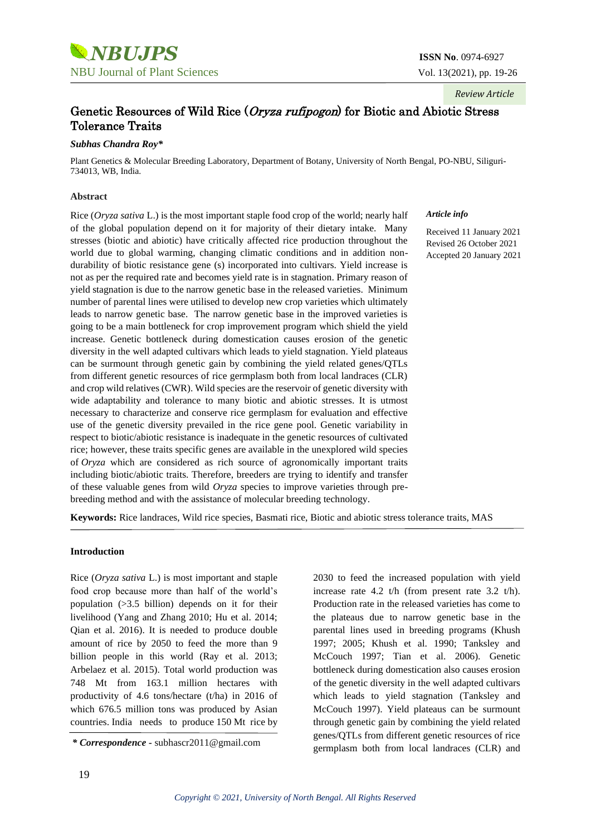

### *Review Article*

# Genetic Resources of Wild Rice (Oryza rufipogon) for Biotic and Abiotic Stress Tolerance Traits

#### *Subhas Chandra Roy\**

Plant Genetics & Molecular Breeding Laboratory, Department of Botany, University of North Bengal, PO-NBU, Siliguri-734013, WB, India.

#### **Abstract**

Rice (*Oryza sativa* L.) is the most important staple food crop of the world; nearly half of the global population depend on it for majority of their dietary intake. Many stresses (biotic and abiotic) have critically affected rice production throughout the world due to global warming, changing climatic conditions and in addition nondurability of biotic resistance gene (s) incorporated into cultivars. Yield increase is not as per the required rate and becomes yield rate is in stagnation. Primary reason of yield stagnation is due to the narrow genetic base in the released varieties. Minimum number of parental lines were utilised to develop new crop varieties which ultimately leads to narrow genetic base. The narrow genetic base in the improved varieties is going to be a main bottleneck for crop improvement program which shield the yield increase. Genetic bottleneck during domestication causes erosion of the genetic diversity in the well adapted cultivars which leads to yield stagnation. Yield plateaus can be surmount through genetic gain by combining the yield related genes/QTLs from different genetic resources of rice germplasm both from local landraces (CLR) and crop wild relatives (CWR). Wild species are the reservoir of genetic diversity with wide adaptability and tolerance to many biotic and abiotic stresses. It is utmost necessary to characterize and conserve rice germplasm for evaluation and effective use of the genetic diversity prevailed in the rice gene pool. Genetic variability in respect to biotic/abiotic resistance is inadequate in the genetic resources of cultivated rice; however, these traits specific genes are available in the unexplored wild species of *Oryza* which are considered as rich source of agronomically important traits including biotic/abiotic traits. Therefore, breeders are trying to identify and transfer of these valuable genes from wild *Oryza* species to improve varieties through prebreeding method and with the assistance of molecular breeding technology.

#### *Article info*

Received 11 January 2021 Revised 26 October 2021 Accepted 20 January 2021

**Keywords:** Rice landraces, Wild rice species, Basmati rice, Biotic and abiotic stress tolerance traits, MAS

#### **Introduction**

Rice (*Oryza sativa* L.) is most important and staple food crop because more than half of the world's population (>3.5 billion) depends on it for their livelihood (Yang and Zhang 2010; Hu et al. 2014; Qian et al. 2016). It is needed to produce double amount of rice by 2050 to feed the more than 9 billion people in this world (Ray et al. 2013; Arbelaez et al. 2015). Total world production was 748 Mt from 163.1 million hectares with productivity of 4.6 tons/hectare (t/ha) in 2016 of which 676.5 million tons was produced by Asian countries. India needs to produce 150 Mt rice by

2030 to feed the increased population with yield increase rate 4.2 t/h (from present rate 3.2 t/h). Production rate in the released varieties has come to the plateaus due to narrow genetic base in the parental lines used in breeding programs (Khush 1997; 2005; Khush et al. 1990; Tanksley and McCouch 1997; Tian et al. 2006). Genetic bottleneck during domestication also causes erosion of the genetic diversity in the well adapted cultivars which leads to yield stagnation (Tanksley and McCouch 1997). Yield plateaus can be surmount through genetic gain by combining the yield related genes/QTLs from different genetic resources of rice germplasm both from local landraces (CLR) and *\* Correspondence -* [subhascr2011@gmail.com](mailto:subhascr2011@gmail.com)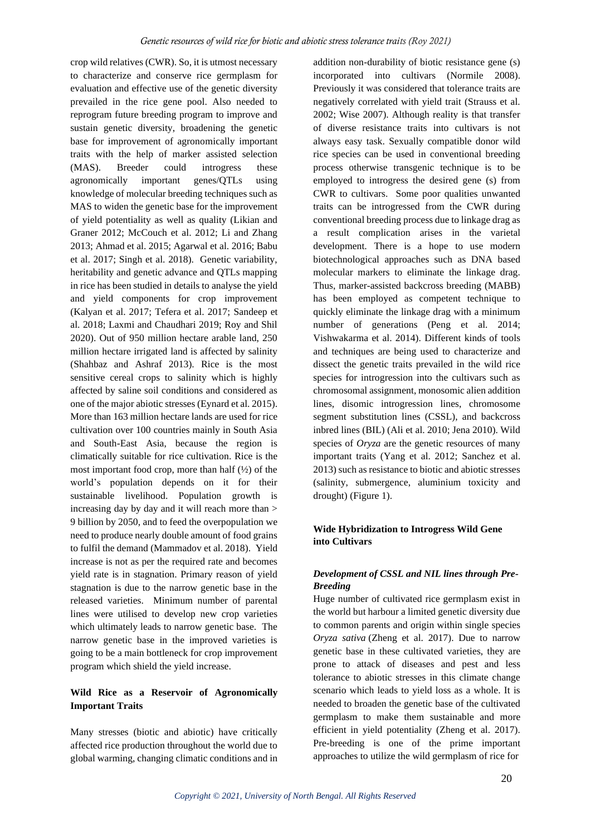crop wild relatives (CWR). So, it is utmost necessary to characterize and conserve rice germplasm for evaluation and effective use of the genetic diversity prevailed in the rice gene pool. Also needed to reprogram future breeding program to improve and sustain genetic diversity, broadening the genetic base for improvement of agronomically important traits with the help of marker assisted selection (MAS). Breeder could introgress these agronomically important genes/QTLs using knowledge of molecular breeding techniques such as MAS to widen the genetic base for the improvement of yield potentiality as well as quality (Likian and Graner 2012; McCouch et al. 2012; Li and Zhang 2013; Ahmad et al. 2015; Agarwal et al. 2016; Babu et al. 2017; Singh et al. 2018). Genetic variability, heritability and genetic advance and QTLs mapping in rice has been studied in details to analyse the yield and yield components for crop improvement (Kalyan et al. 2017; Tefera et al. 2017; Sandeep et al. 2018; Laxmi and Chaudhari 2019; Roy and Shil 2020). Out of 950 million hectare arable land, 250 million hectare irrigated land is affected by salinity (Shahbaz and Ashraf 2013). Rice is the most sensitive cereal crops to salinity which is highly affected by saline soil conditions and considered as one of the major abiotic stresses (Eynard et al. 2015). More than 163 million hectare lands are used for rice cultivation over 100 countries mainly in South Asia and South-East Asia, because the region is climatically suitable for rice cultivation. Rice is the most important food crop, more than half  $(\frac{1}{2})$  of the world's population depends on it for their sustainable livelihood. Population growth is increasing day by day and it will reach more than > 9 billion by 2050, and to feed the overpopulation we need to produce nearly double amount of food grains to fulfil the demand (Mammadov et al. 2018). Yield increase is not as per the required rate and becomes yield rate is in stagnation. Primary reason of yield stagnation is due to the narrow genetic base in the released varieties. Minimum number of parental lines were utilised to develop new crop varieties which ultimately leads to narrow genetic base. The narrow genetic base in the improved varieties is going to be a main bottleneck for crop improvement program which shield the yield increase.

## **Wild Rice as a Reservoir of Agronomically Important Traits**

Many stresses (biotic and abiotic) have critically affected rice production throughout the world due to global warming, changing climatic conditions and in addition non-durability of biotic resistance gene (s) incorporated into cultivars (Normile 2008). Previously it was considered that tolerance traits are negatively correlated with yield trait (Strauss et al. 2002; Wise 2007). Although reality is that transfer of diverse resistance traits into cultivars is not always easy task. Sexually compatible donor wild rice species can be used in conventional breeding process otherwise transgenic technique is to be employed to introgress the desired gene (s) from CWR to cultivars. Some poor qualities unwanted traits can be introgressed from the CWR during conventional breeding process due to linkage drag as a result complication arises in the varietal development. There is a hope to use modern biotechnological approaches such as DNA based molecular markers to eliminate the linkage drag. Thus, marker-assisted backcross breeding (MABB) has been employed as competent technique to quickly eliminate the linkage drag with a minimum number of generations (Peng et al. 2014; Vishwakarma et al. 2014). Different kinds of tools and techniques are being used to characterize and dissect the genetic traits prevailed in the wild rice species for introgression into the cultivars such as chromosomal assignment, monosomic alien addition lines, disomic introgression lines, chromosome segment substitution lines (CSSL), and backcross inbred lines (BIL) (Ali et al. 2010; Jena 2010). Wild species of *Oryza* are the genetic resources of many important traits (Yang et al. 2012; Sanchez et al. 2013) such as resistance to biotic and abiotic stresses (salinity, submergence, aluminium toxicity and drought) (Figure 1).

#### **Wide Hybridization to Introgress Wild Gene into Cultivars**

### *Development of CSSL and NIL lines through Pre-Breeding*

Huge number of cultivated rice germplasm exist in the world but harbour a limited genetic diversity due to common parents and origin within single species *Oryza sativa* (Zheng et al. 2017). Due to narrow genetic base in these cultivated varieties, they are prone to attack of diseases and pest and less tolerance to abiotic stresses in this climate change scenario which leads to yield loss as a whole. It is needed to broaden the genetic base of the cultivated germplasm to make them sustainable and more efficient in yield potentiality (Zheng et al. 2017). Pre-breeding is one of the prime important approaches to utilize the wild germplasm of rice for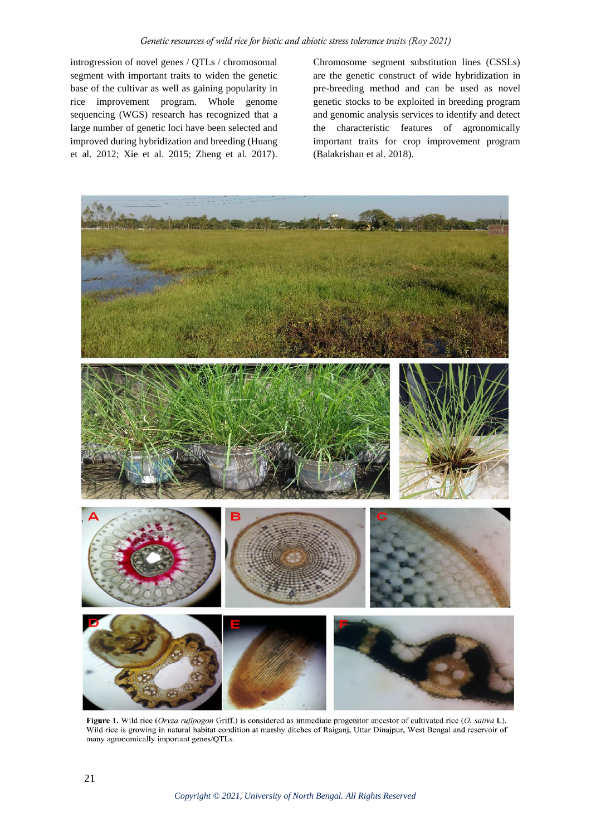introgression of novel genes / QTLs / chromosomal segment with important traits to widen the genetic base of the cultivar as well as gaining popularity in rice improvement program. Whole genome sequencing (WGS) research has recognized that a large number of genetic loci have been selected and improved during hybridization and breeding (Huang et al. 2012; Xie et al. 2015; Zheng et al. 2017).

Chromosome segment substitution lines (CSSLs) are the genetic construct of wide hybridization in pre-breeding method and can be used as novel genetic stocks to be exploited in breeding program and genomic analysis services to identify and detect the characteristic features of agronomically important traits for crop improvement program (Balakrishan et al. 2018).



Figure 1. Wild rice (Oryza rufipogon Griff.) is considered as immediate progenitor ancestor of cultivated rice (O. sativa L). Wild rice is growing in natural habitat condition at marshy ditches of Raiganj, Uttar Dinajpur, West Bengal and reservoir of many agronomically important genes/QTLs.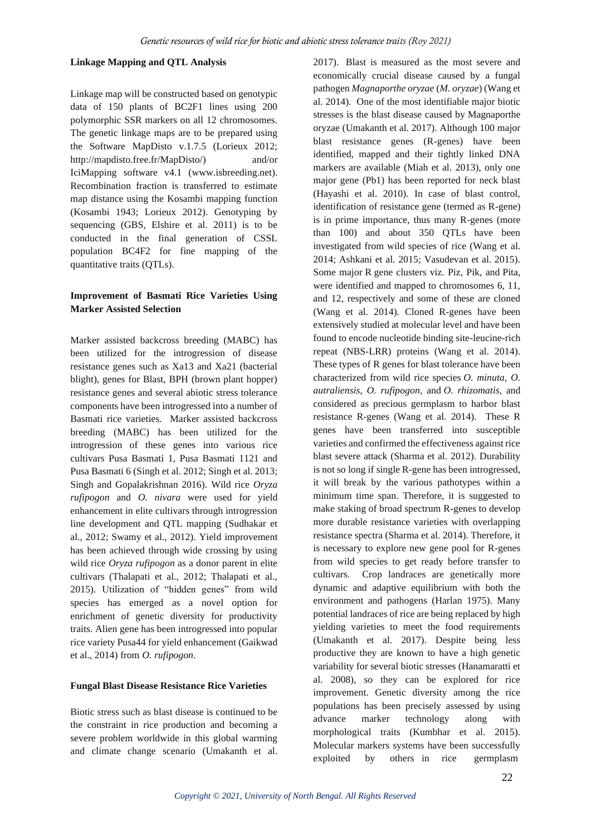#### **Linkage Mapping and QTL Analysis**

Linkage map will be constructed based on genotypic data of 150 plants of BC2F1 lines using 200 polymorphic SSR markers on all 12 chromosomes. The genetic linkage maps are to be prepared using the Software MapDisto v.1.7.5 (Lorieux 2012; [http://mapdisto.free.fr/MapDisto/\)](http://mapdisto.free.fr/MapDisto/) and/or IciMapping software v4.1 [\(www.isbreeding.net\)](http://www.isbreeding.net/). Recombination fraction is transferred to estimate map distance using the Kosambi mapping function (Kosambi 1943; Lorieux 2012). Genotyping by sequencing (GBS, Elshire et al. 2011) is to be conducted in the final generation of CSSL population BC4F2 for fine mapping of the quantitative traits (QTLs).

### **Improvement of Basmati Rice Varieties Using Marker Assisted Selection**

Marker assisted backcross breeding (MABC) has been utilized for the introgression of disease resistance genes such as Xa13 and Xa21 (bacterial blight), genes for Blast, BPH (brown plant hopper) resistance genes and several abiotic stress tolerance components have been introgressed into a number of Basmati rice varieties. Marker assisted backcross breeding (MABC) has been utilized for the introgression of these genes into various rice cultivars Pusa Basmati 1, Pusa Basmati 1121 and Pusa Basmati 6 (Singh et al. 2012; Singh et al. 2013; Singh and Gopalakrishnan 2016). Wild rice *Oryza rufipogon* and *O. nivara* were used for yield enhancement in elite cultivars through introgression line development and QTL mapping (Sudhakar et al., 2012; Swamy et al., 2012). Yield improvement has been achieved through wide crossing by using wild rice *Oryza rufipogon* as a donor parent in elite cultivars (Thalapati et al., 2012; Thalapati et al., 2015). Utilization of "hidden genes" from wild species has emerged as a novel option for enrichment of genetic diversity for productivity traits. Alien gene has been introgressed into popular rice variety Pusa44 for yield enhancement (Gaikwad et al., 2014) from *O. rufipogon*.

### **Fungal Blast Disease Resistance Rice Varieties**

Biotic stress such as blast disease is continued to be the constraint in rice production and becoming a severe problem worldwide in this global warming and climate change scenario (Umakanth et al. 2017). Blast is measured as the most severe and economically crucial disease caused by a fungal pathogen *Magnaporthe oryzae* (*M. oryzae*) (Wang et al. 2014). One of the most identifiable major biotic stresses is the blast disease caused by Magnaporthe oryzae (Umakanth et al. 2017). Although 100 major blast resistance genes (R-genes) have been identified, mapped and their tightly linked DNA markers are available (Miah et al. 2013), only one major gene (Pb1) has been reported for neck blast (Hayashi et al. 2010). In case of blast control, identification of resistance gene (termed as R-gene) is in prime importance, thus many R-genes (more than 100) and about 350 QTLs have been investigated from wild species of rice (Wang et al. 2014; Ashkani et al. 2015; Vasudevan et al. 2015). Some major R gene clusters viz. Piz, Pik, and Pita, were identified and mapped to chromosomes 6, 11, and 12, respectively and some of these are cloned (Wang et al. 2014). Cloned R-genes have been extensively studied at molecular level and have been found to encode nucleotide binding site-leucine-rich repeat (NBS-LRR) proteins (Wang et al. 2014). These types of R genes for blast tolerance have been characterized from wild rice species *O. minuta, O. autraliensis, O. rufipogon,* and *O. rhizomatis,* and considered as precious germplasm to harbor blast resistance R-genes (Wang et al. 2014). These R genes have been transferred into susceptible varieties and confirmed the effectiveness against rice blast severe attack (Sharma et al. 2012). Durability is not so long if single R-gene has been introgressed, it will break by the various pathotypes within a minimum time span. Therefore, it is suggested to make staking of broad spectrum R-genes to develop more durable resistance varieties with overlapping resistance spectra (Sharma et al. 2014). Therefore, it is necessary to explore new gene pool for R-genes from wild species to get ready before transfer to cultivars. Crop landraces are genetically more dynamic and adaptive equilibrium with both the environment and pathogens (Harlan 1975). Many potential landraces of rice are being replaced by high yielding varieties to meet the food requirements (Umakanth et al. 2017). Despite being less productive they are known to have a high genetic variability for several biotic stresses (Hanamaratti et al. 2008), so they can be explored for rice improvement. Genetic diversity among the rice populations has been precisely assessed by using advance marker technology along with morphological traits (Kumbhar et al. 2015). Molecular markers systems have been successfully exploited by others in rice germplasm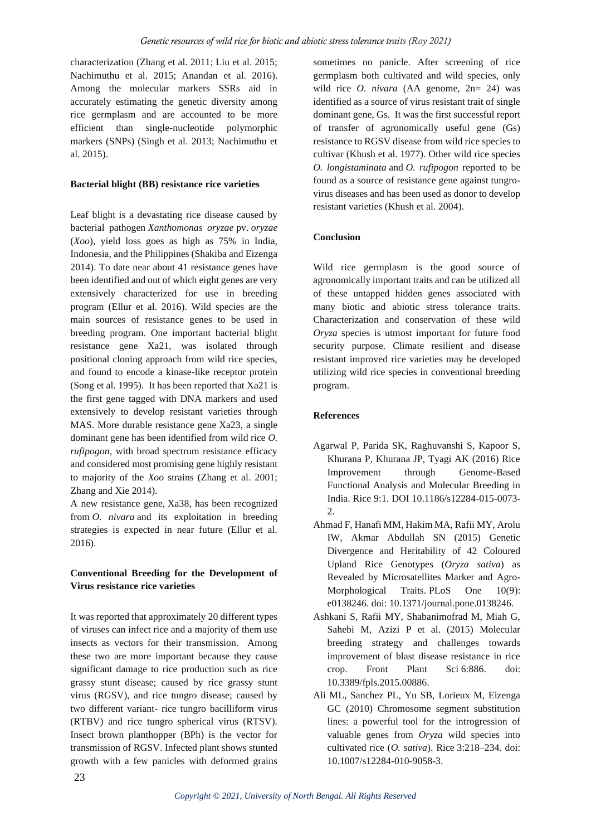characterization (Zhang et al. 2011; Liu et al. 2015; Nachimuthu et al. 2015; Anandan et al. 2016). Among the molecular markers SSRs aid in accurately estimating the genetic diversity among rice germplasm and are accounted to be more efficient than single-nucleotide polymorphic markers (SNPs) (Singh et al. 2013; Nachimuthu et al. 2015).

#### **Bacterial blight (BB) resistance rice varieties**

Leaf blight is a devastating rice disease caused by bacterial pathogen *Xanthomonas oryzae* pv. *oryzae* (*Xoo*), yield loss goes as high as 75% in India, Indonesia, and the Philippines (Shakiba and Eizenga 2014). To date near about 41 resistance genes have been identified and out of which eight genes are very extensively characterized for use in breeding program (Ellur et al. 2016). Wild species are the main sources of resistance genes to be used in breeding program. One important bacterial blight resistance gene Xa21, was isolated through positional cloning approach from wild rice species, and found to encode a kinase-like receptor protein (Song et al. 1995). It has been reported that Xa21 is the first gene tagged with DNA markers and used extensively to develop resistant varieties through MAS. More durable resistance gene Xa23, a single dominant gene has been identified from wild rice *O. rufipogon*, with broad spectrum resistance efficacy and considered most promising gene highly resistant to majority of the *Xoo* strains (Zhang et al. 2001; Zhang and Xie 2014).

A new resistance gene, Xa38, has been recognized from *O. nivara* and its exploitation in breeding strategies is expected in near future (Ellur et al. 2016).

### **Conventional Breeding for the Development of Virus resistance rice varieties**

It was reported that approximately 20 different types of viruses can infect rice and a majority of them use insects as vectors for their transmission. Among these two are more important because they cause significant damage to rice production such as rice grassy stunt disease; caused by rice grassy stunt virus (RGSV), and rice tungro disease; caused by two different variant- rice tungro bacilliform virus (RTBV) and rice tungro spherical virus (RTSV). Insect brown planthopper (BPh) is the vector for transmission of RGSV. Infected plant shows stunted growth with a few panicles with deformed grains

sometimes no panicle. After screening of rice germplasm both cultivated and wild species, only wild rice *O. nivara* (AA genome, 2n= 24) was identified as a source of virus resistant trait of single dominant gene, Gs. It was the first successful report of transfer of agronomically useful gene (Gs) resistance to RGSV disease from wild rice species to cultivar (Khush et al. 1977). Other wild rice species *O. longistaminata* and *O. rufipogon* reported to be found as a source of resistance gene against tungrovirus diseases and has been used as donor to develop resistant varieties (Khush et al. 2004).

### **Conclusion**

Wild rice germplasm is the good source of agronomically important traits and can be utilized all of these untapped hidden genes associated with many biotic and abiotic stress tolerance traits. Characterization and conservation of these wild *Oryza* species is utmost important for future food security purpose. Climate resilient and disease resistant improved rice varieties may be developed utilizing wild rice species in conventional breeding program.

### **References**

- Agarwal P, Parida SK, Raghuvanshi S, Kapoor S, Khurana P, Khurana JP, Tyagi AK (2016) Rice Improvement through Genome-Based Functional Analysis and Molecular Breeding in India. Rice 9:1. DOI 10.1186/s12284-015-0073- 2.
- Ahmad F, Hanafi MM, Hakim MA, Rafii MY, Arolu IW, Akmar Abdullah SN (2015) Genetic Divergence and Heritability of 42 Coloured Upland Rice Genotypes (*Oryza sativa*) as Revealed by Microsatellites Marker and Agro-Morphological Traits. PLoS One 10(9): e0138246. doi: 10.1371/journal.pone.0138246.
- Ashkani S, Rafii MY, Shabanimofrad M, Miah G, Sahebi M, Azizi P et al. (2015) Molecular breeding strategy and challenges towards improvement of blast disease resistance in rice crop. Front Plant Sci 6:886. doi: 10.3389/fpls.2015.00886.
- Ali ML, Sanchez PL, Yu SB, Lorieux M, Eizenga GC (2010) Chromosome segment substitution lines: a powerful tool for the introgression of valuable genes from *Oryza* wild species into cultivated rice (O. sativa). Rice 3:218-234. doi: 10.1007/s12284-010-9058-3.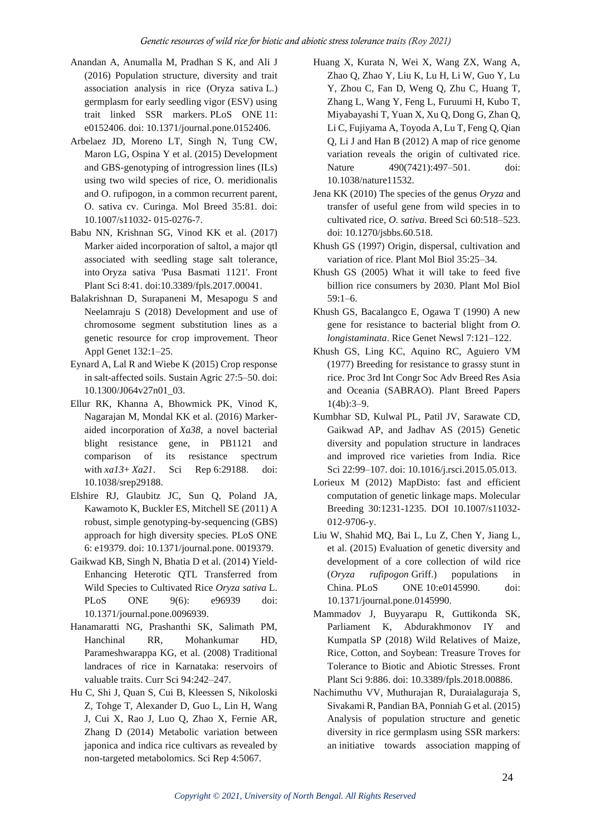- Anandan A, Anumalla M, Pradhan S K, and Ali J (2016) Population structure, diversity and trait association analysis in rice (Oryza sativa L.) germplasm for early seedling vigor (ESV) using trait linked SSR markers. PLoS ONE 11: e0152406. doi: 10.1371/journal.pone.0152406.
- Arbelaez JD, Moreno LT, Singh N, Tung CW, Maron LG, Ospina Y et al. (2015) Development and GBS-genotyping of introgression lines (ILs) using two wild species of rice, O. meridionalis and O. rufipogon, in a common recurrent parent, O. sativa cv. Curinga. Mol Breed 35:81. doi: 10.1007/s11032- 015-0276-7.
- Babu NN, Krishnan SG, Vinod KK et al. (2017) Marker aided incorporation of saltol, a major qtl associated with seedling stage salt tolerance, into Oryza sativa 'Pusa Basmati 1121'. Front Plant Sci 8:41. doi:10.3389/fpls.2017.00041.
- Balakrishnan D, Surapaneni M, Mesapogu S and Neelamraju S (2018) Development and use of chromosome segment substitution lines as a genetic resource for crop improvement. Theor Appl Genet 132:1–25.
- Eynard A, Lal R and Wiebe K (2015) Crop response in salt-affected soils. Sustain Agric 27:5–50. doi: 10.1300/J064v27n01\_03.
- Ellur RK, Khanna A, Bhowmick PK, Vinod K, Nagarajan M, Mondal KK et al. (2016) Markeraided incorporation of *Xa38*, a novel bacterial blight resistance gene, in PB1121 and comparison of its resistance spectrum with *xa13*+ *Xa21*. Sci Rep 6:29188. doi: 10.1038/srep29188.
- Elshire RJ, Glaubitz JC, Sun Q, Poland JA, Kawamoto K, Buckler ES, Mitchell SE (2011) A robust, simple genotyping-by-sequencing (GBS) approach for high diversity species. PLoS ONE 6: e19379. doi: 10.1371/journal.pone. 0019379.
- Gaikwad KB, Singh N, Bhatia D et al. (2014) Yield-Enhancing Heterotic QTL Transferred from Wild Species to Cultivated Rice *Oryza sativa* L. PLoS ONE 9(6): e96939 doi: 10.1371/journal.pone.0096939.
- Hanamaratti NG, Prashanthi SK, Salimath PM, Hanchinal RR, Mohankumar HD, Parameshwarappa KG, et al. (2008) Traditional landraces of rice in Karnataka: reservoirs of valuable traits. Curr Sci 94:242–247.
- Hu C, Shi J, Quan S, Cui B, Kleessen S, Nikoloski Z, Tohge T, Alexander D, Guo L, Lin H, Wang J, Cui X, Rao J, Luo Q, Zhao X, Fernie AR, Zhang D (2014) Metabolic variation between japonica and indica rice cultivars as revealed by non-targeted metabolomics. Sci Rep 4:5067.
- Huang X, Kurata N, Wei X, Wang ZX, Wang A, Zhao Q, Zhao Y, Liu K, Lu H, Li W, Guo Y, Lu Y, Zhou C, Fan D, Weng Q, Zhu C, Huang T, Zhang L, Wang Y, Feng L, Furuumi H, Kubo T, Miyabayashi T, Yuan X, Xu Q, Dong G, Zhan Q, Li C, Fujiyama A, Toyoda A, Lu T, Feng Q, Qian Q, Li J and Han B (2012) A map of rice genome variation reveals the origin of cultivated rice. Nature 490(7421):497–501. doi: 10.1038/nature11532.
- Jena KK (2010) The species of the genus *Oryza* and transfer of useful gene from wild species in to cultivated rice, *O. sativa.* Breed Sci 60:518–523. doi: 10.1270/jsbbs.60.518.
- Khush GS (1997) Origin, dispersal, cultivation and variation of rice. Plant Mol Biol 35:25–34.
- Khush GS (2005) What it will take to feed five billion rice consumers by 2030. Plant Mol Biol 59:1–6.
- Khush GS, Bacalangco E, Ogawa T (1990) A new gene for resistance to bacterial blight from *O. longistaminata*. Rice Genet Newsl 7:121–122.
- Khush GS, Ling KC, Aquino RC, Aguiero VM (1977) Breeding for resistance to grassy stunt in rice. Proc 3rd Int Congr Soc Adv Breed Res Asia and Oceania (SABRAO). Plant Breed Papers 1(4b):3–9.
- Kumbhar SD, Kulwal PL, Patil JV, Sarawate CD, Gaikwad AP, and Jadhav AS (2015) Genetic diversity and population structure in landraces and improved rice varieties from India. Rice Sci 22:99–107. doi: 10.1016/j.rsci.2015.05.013.
- [Lorieux M \(2012\) MapDisto: fast and efficient](http://link.springer.com/article/10.1007/s11032-012-9706-y)  [computation of genetic linkage maps. Molecular](http://link.springer.com/article/10.1007/s11032-012-9706-y)  [Breeding 30:1231-1235. DOI 10.1007/s11032-](http://link.springer.com/article/10.1007/s11032-012-9706-y) [012-9706-y.](http://link.springer.com/article/10.1007/s11032-012-9706-y)
- Liu W, Shahid MQ, Bai L, Lu Z, Chen Y, Jiang L, et al. (2015) Evaluation of genetic diversity and development of a core collection of wild rice (*Oryza rufipogon* Griff.) populations in China. PLoS ONE 10:e0145990. doi: 10.1371/journal.pone.0145990.
- Mammadov J, Buyyarapu R, Guttikonda SK, Parliament K, Abdurakhmonov IY and Kumpatla SP (2018) Wild Relatives of Maize, Rice, Cotton, and Soybean: Treasure Troves for Tolerance to Biotic and Abiotic Stresses. Front Plant Sci 9:886. doi: 10.3389/fpls.2018.00886.
- Nachimuthu VV, Muthurajan R, Duraialaguraja S, Sivakami R, Pandian BA, Ponniah G et al. (2015) Analysis of population structure and genetic diversity in rice germplasm using SSR markers: an initiative towards association mapping of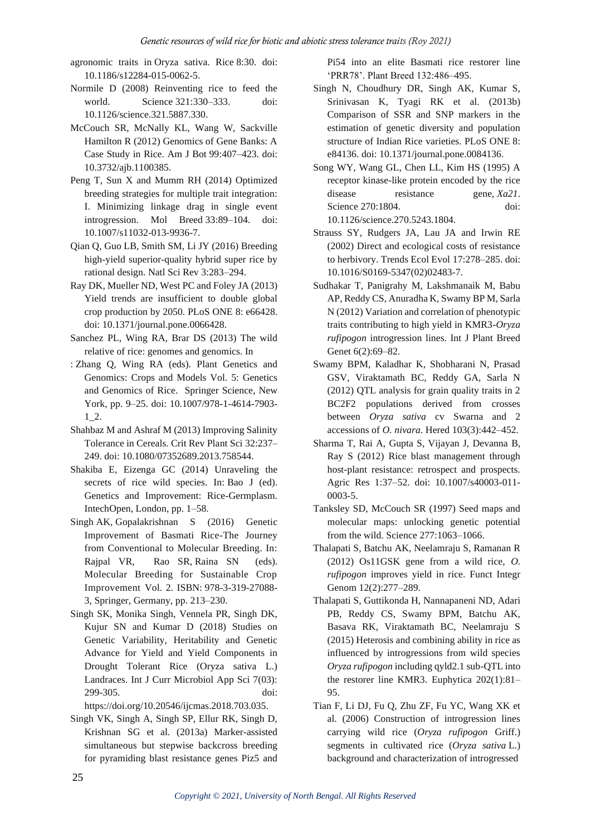- agronomic traits in Oryza sativa. Rice 8:30. doi: 10.1186/s12284-015-0062-5.
- Normile D (2008) Reinventing rice to feed the world. Science 321:330–333. doi: 10.1126/science.321.5887.330.
- McCouch SR, McNally KL, Wang W, Sackville Hamilton R (2012) Genomics of Gene Banks: A Case Study in Rice. Am J Bot 99:407–423. doi: 10.3732/ajb.1100385.
- Peng T, Sun X and Mumm RH (2014) Optimized breeding strategies for multiple trait integration: I. Minimizing linkage drag in single event introgression. Mol Breed 33:89–104. doi: 10.1007/s11032-013-9936-7.
- Qian Q, Guo LB, Smith SM, Li JY (2016) Breeding high-yield superior-quality hybrid super rice by rational design. Natl Sci Rev 3:283–294.
- Ray DK, Mueller ND, West PC and Foley JA (2013) Yield trends are insufficient to double global crop production by 2050. PLoS ONE 8: e66428. doi: 10.1371/journal.pone.0066428.
- Sanchez PL, Wing RA, Brar DS (2013) The wild relative of rice: genomes and genomics. In
- : Zhang Q, Wing RA (eds)*.* Plant Genetics and Genomics: Crops and Models Vol. 5: Genetics and Genomics of Rice. Springer Science, New York, pp. 9–25. doi: 10.1007/978-1-4614-7903- 1\_2.
- Shahbaz M and Ashraf M (2013) Improving Salinity Tolerance in Cereals. Crit Rev Plant Sci 32:237– 249. doi: 10.1080/07352689.2013.758544.
- Shakiba E, Eizenga GC (2014) Unraveling the secrets of rice wild species. In: Bao J (ed). Genetics and Improvement: Rice-Germplasm. IntechOpen, London, pp. 1–58.
- Singh AK, Gopalakrishnan S (2016) Genetic Improvement of Basmati Rice-The Journey from Conventional to Molecular Breeding. In: [Rajpal](https://link.springer.com/search?facet-creator=%22Vijay+Rani+Rajpal%22) VR, [Rao](https://link.springer.com/search?facet-creator=%22S.+Rama+Rao%22) SR, [Raina](https://link.springer.com/search?facet-creator=%22S.N.+Raina%22) SN (eds). Molecular Breeding for Sustainable Crop Improvement Vol. 2. ISBN: 978-3-319-27088- 3, Springer, Germany, pp. 213–230.
- Singh SK, Monika Singh, Vennela PR, Singh DK, Kujur SN and Kumar D (2018) Studies on Genetic Variability, Heritability and Genetic Advance for Yield and Yield Components in Drought Tolerant Rice (Oryza sativa L.) Landraces. Int J Curr Microbiol App Sci 7(03): 299-305. doi:

[https://doi.org/10.20546/ijcmas.2018.703.035.](https://doi.org/10.20546/ijcmas.2018.703.035)

Singh VK, Singh A, Singh SP, Ellur RK, Singh D, Krishnan SG et al. (2013a) Marker-assisted simultaneous but stepwise backcross breeding for pyramiding blast resistance genes Piz5 and Pi54 into an elite Basmati rice restorer line 'PRR78'. Plant Breed 132:486–495.

- Singh N, Choudhury DR, Singh AK, Kumar S, Srinivasan K, Tyagi RK et al. (2013b) Comparison of SSR and SNP markers in the estimation of genetic diversity and population structure of Indian Rice varieties. PLoS ONE 8: e84136. doi: 10.1371/journal.pone.0084136.
- Song WY, Wang GL, Chen LL, Kim HS (1995) A receptor kinase-like protein encoded by the rice disease resistance gene, *Xa21*. Science 270:1804. doi: 10.1126/science.270.5243.1804.
- Strauss SY, Rudgers JA, Lau JA and Irwin RE (2002) Direct and ecological costs of resistance to herbivory. Trends Ecol Evol 17:278–285. doi: 10.1016/S0169-5347(02)02483-7.
- Sudhakar T, Panigrahy M, Lakshmanaik M, Babu AP, Reddy CS, Anuradha K, Swamy BP M, Sarla N (2012) Variation and correlation of phenotypic traits contributing to high yield in KMR3-*Oryza rufipogon* introgression lines. Int J Plant Breed Genet 6(2):69-82.
- Swamy BPM, Kaladhar K, Shobharani N, Prasad GSV, Viraktamath BC, Reddy GA, Sarla N (2012) QTL analysis for grain quality traits in 2 BC2F2 populations derived from crosses between *Oryza sativa* cv Swarna and 2 accessions of *O. nivara*. Hered 103(3):442–452.
- Sharma T, Rai A, Gupta S, Vijayan J, Devanna B, Ray S (2012) Rice blast management through host-plant resistance: retrospect and prospects. Agric Res 1:37–52. doi: 10.1007/s40003-011- 0003-5.
- Tanksley SD, McCouch SR (1997) Seed maps and molecular maps: unlocking genetic potential from the wild. Science 277:1063–1066.
- Thalapati S, Batchu AK, Neelamraju S, Ramanan R (2012) Os11GSK gene from a wild rice, *O. rufipogon* improves yield in rice. Funct Integr Genom 12(2):277–289.
- Thalapati S, Guttikonda H, Nannapaneni ND, Adari PB, Reddy CS, Swamy BPM, Batchu AK, Basava RK, Viraktamath BC, Neelamraju S (2015) Heterosis and combining ability in rice as influenced by introgressions from wild species *Oryza rufipogon* including qyld2.1 sub-QTL into the restorer line KMR3. Euphytica 202(1):81– 95.
- Tian F, Li DJ, Fu Q, Zhu ZF, Fu YC, Wang XK et al. (2006) Construction of introgression lines carrying wild rice (*Oryza rufipogon* Griff.) segments in cultivated rice (*Oryza sativa* L.) background and characterization of introgressed